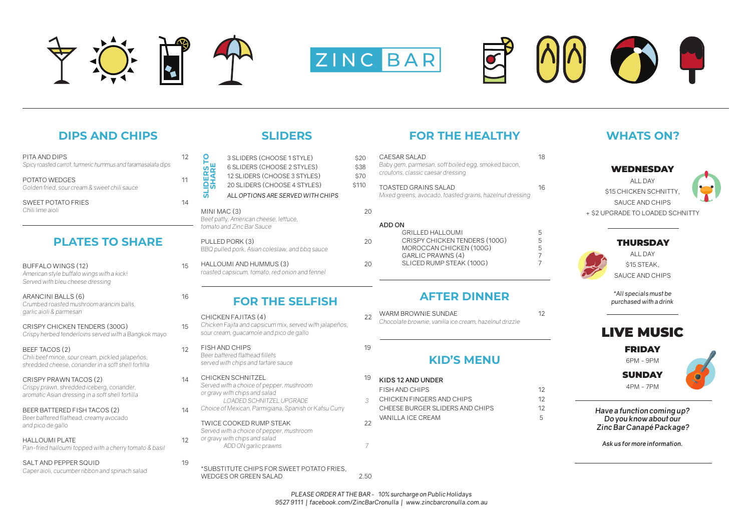WEDNESDAY

ALL DAY **\$15 CHICKEN SCHNITTY** SAUCE AND CHIPS + \$2 UPGRADE TO LOADED SCHNITTY



### THURSDAY



ALL DAY \$15 STEAK, SAUCE AND CHIPS

*\*All specials must be purchased with a drink*

## LIVE MUSIC

### FRIDAY

6PM - 9PM

### **SUNDAY**

4PM - 7PM



*Have a function coming up? Do you know about our Zinc Bar Canapé Package?*

*Ask us for more information.*

- FISH AND CHIPS 19 *Beer battered flathead fillets served with chips and tartare sauce*
- CHICKEN SCHNITZEL 1999 *Served with a choice of pepper, mushroom or gravy with chips and salad LOADED SCHNITZEL UPGRADE 3 Choice of Mexican, Parmigiana, Spanish or Katsu Curry*
	- TWICF COOKED RUMP STEAK 2 *Served with a choice of pepper, mushroom or gravy with chips and salad ADD ON garlic prawns 7*

### \*SUBSTITUTE CHIPS FOR SWEET POTATO FRIES, WEDGES OR GREEN SALAD

## *sour cream, guacamole and pico de gallo*

CRISPY CHICKEN TENDERS (300G) 15 *Crispy herbed tenderloins served with a Bangkok mayo*

BEEF TACOS (2) 12 *Chili beef mince, sour cream, pickled jalapeños, shredded cheese, coriander in a soft shell tortilla*

CRISPY PRAWN TACOS (2) 14 *Crispy prawn, shredded iceberg, coriander, aromatic Asian dressing in a soft shell tortilla*

### BEER BATTERED FISH TACOS (2) 14 *Beer battered flathead, creamy avocado and pico de gallo*

### HALLOUMI PLATE 12 *Pan-fried halloumi topped with a cherry tomato & basil*

SALT AND PEPPER SQUID 19 *Caper aioli, cucumber ribbon and spinach salad*







## **DIPS AND CHIPS**

# **PLATES TO SHARE**

| PITA AND DIPS<br>Spicy roasted carrot, turmeric hummus and taramasalata dips | 12 |
|------------------------------------------------------------------------------|----|
| POTATO WEDGES<br>Golden fried, sour cream & sweet chili sauce                |    |
| <b>SWEET POTATO FRIES</b><br>Chili lime aioli                                | 14 |

| <b>BUFFALO WINGS (12)</b><br>American style buffalo wings with a kick!<br>Served with bleu cheese dressing | 15  |
|------------------------------------------------------------------------------------------------------------|-----|
| ARANCINI BALLS (6)<br>Crumbed roasted mushroom arancini balls.<br>garlic aioli & parmesan                  | 16. |

| <b>SLIDERS TC<br/>SHARE</b> | 3 SLIDERS (CHOOSE 1 STYLE)<br>6 SLIDERS (CHOOSE 2 STYLES)<br>12 SLIDERS (CHOOSE 3 STYLES)<br>20 SLIDERS (CHOOSE 4 STYLES)<br>ALL OPTIONS ARE SERVED WITH CHIPS | \$20<br>\$38<br>\$70<br>\$110 |
|-----------------------------|----------------------------------------------------------------------------------------------------------------------------------------------------------------|-------------------------------|
| MINI MAC (3)                | Beef patty, American cheese, lettuce,<br>tomato and Zinc Bar Sauce                                                                                             | 20                            |
|                             | PULLED PORK (3)<br>BBQ pulled pork, Asian coleslaw, and bbq sauce                                                                                              | 20                            |
|                             | HALLOUMI AND HUMMUS (3)<br>roasted capsicum, tomato, red onion and fennel                                                                                      | 20                            |
|                             | <b>FOR THE SELFISH</b>                                                                                                                                         |                               |
|                             | CHICKEN FAJITAS (4)<br>Chicken Fajita and capsicum mix, served with jalapeños,                                                                                 | 22                            |

## **AFTER DINNER**

| 22 | WARM BROWNIE SUNDAE                                    |  |  |  |  |  |
|----|--------------------------------------------------------|--|--|--|--|--|
|    | Chocolate brownie, vanilla ice cream, hazelnut drizzle |  |  |  |  |  |

## **KID'S MENU**

| KIDS 12 AND UNDER               |     |
|---------------------------------|-----|
| FISH AND CHIPS                  | 12  |
| CHICKEN FINGERS AND CHIPS       | 12. |
| CHEESE BURGER SLIDERS AND CHIPS | 12. |
| VANII I A ICF CRFAM             | h   |
|                                 |     |

## **SLIDERS FOR THE HEALTHY**

| 0<br>8<br>Ó, | CAESAR SALAD<br>Baby gem, parmesan, soft boiled egg, smoked bacon,<br>croutons, classic caesar dressing | 18          |
|--------------|---------------------------------------------------------------------------------------------------------|-------------|
| $\Omega$     | TOASTED GRAINS SALAD<br>Mixed greens, avocado, toasted grains, hazelnut dressing                        | 16          |
| 20           |                                                                                                         |             |
|              | ADD ON                                                                                                  |             |
| 20           | GRILLED HALLOUML<br>CRISPY CHICKEN TENDERS (100G)<br>MOROCCAN CHICKEN (100G)<br>GARLIC PRAWNS (4)       | 5<br>5<br>5 |
|              | SLICED RUMP STEAK (100G)                                                                                |             |

## **WHATS ON?**